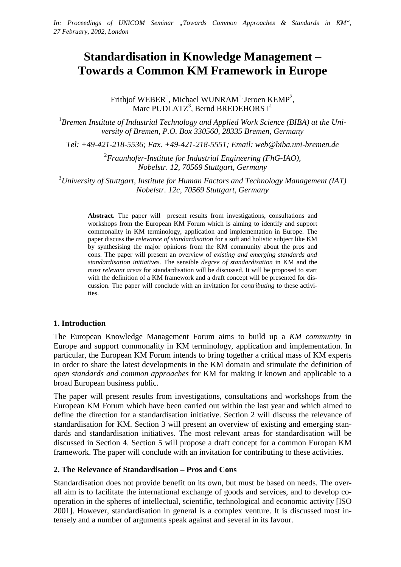# **Standardisation in Knowledge Management – Towards a Common KM Framework in Europe**

Frithjof WEBER<sup>1</sup>, Michael WUNRAM<sup>1,</sup> Jeroen KEMP<sup>2</sup>, Marc PUDLATZ<sup>3</sup>, Bernd BREDEHORST<sup>1</sup>

<sup>1</sup> Bremen Institute of Industrial Technology and Applied Work Science (BIBA) at the Uni*versity of Bremen, P.O. Box 330560, 28335 Bremen, Germany* 

*Tel: +49-421-218-5536; Fax. +49-421-218-5551; Email: web@biba.uni-bremen.de* 

2 *Fraunhofer-Institute for Industrial Engineering (FhG-IAO), Nobelstr. 12, 70569 Stuttgart, Germany* 

3 *University of Stuttgart, Institute for Human Factors and Technology Management (IAT) Nobelstr. 12c, 70569 Stuttgart, Germany* 

**Abstract.** The paper will present results from investigations, consultations and workshops from the European KM Forum which is aiming to identify and support commonality in KM terminology, application and implementation in Europe. The paper discuss the *relevance of standardisation* for a soft and holistic subject like KM by synthesising the major opinions from the KM community about the pros and cons. The paper will present an overview of *existing and emerging standards and standardisation initiatives.* The sensible *degree of standardisation* in KM and the *most relevant areas* for standardisation will be discussed. It will be proposed to start with the definition of a KM framework and a draft concept will be presented for discussion. The paper will conclude with an invitation for *contributing* to these activities.

## **1. Introduction**

The European Knowledge Management Forum aims to build up a *KM community* in Europe and support commonality in KM terminology, application and implementation. In particular, the European KM Forum intends to bring together a critical mass of KM experts in order to share the latest developments in the KM domain and stimulate the definition of *open standards and common approaches* for KM for making it known and applicable to a broad European business public.

The paper will present results from investigations, consultations and workshops from the European KM Forum which have been carried out within the last year and which aimed to define the direction for a standardisation initiative. Section 2 will discuss the relevance of standardisation for KM. Section 3 will present an overview of existing and emerging standards and standardisation initiatives. The most relevant areas for standardisation will be discussed in Section 4. Section 5 will propose a draft concept for a common Europan KM framework. The paper will conclude with an invitation for contributing to these activities.

#### **2. The Relevance of Standardisation – Pros and Cons**

Standardisation does not provide benefit on its own, but must be based on needs. The overall aim is to facilitate the international exchange of goods and services, and to develop cooperation in the spheres of intellectual, scientific, technological and economic activity [ISO 2001]. However, standardisation in general is a complex venture. It is discussed most intensely and a number of arguments speak against and several in its favour.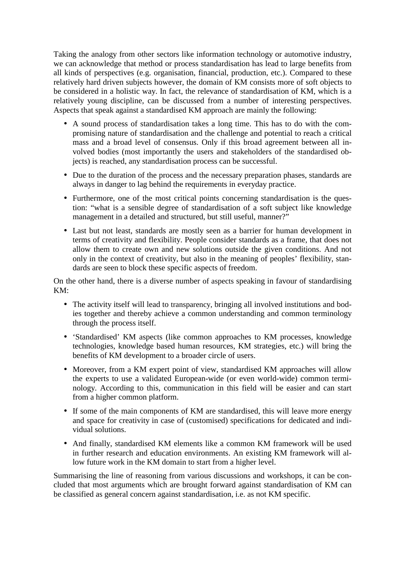Taking the analogy from other sectors like information technology or automotive industry, we can acknowledge that method or process standardisation has lead to large benefits from all kinds of perspectives (e.g. organisation, financial, production, etc.). Compared to these relatively hard driven subjects however, the domain of KM consists more of soft objects to be considered in a holistic way. In fact, the relevance of standardisation of KM, which is a relatively young discipline, can be discussed from a number of interesting perspectives. Aspects that speak against a standardised KM approach are mainly the following:

- A sound process of standardisation takes a long time. This has to do with the compromising nature of standardisation and the challenge and potential to reach a critical mass and a broad level of consensus. Only if this broad agreement between all involved bodies (most importantly the users and stakeholders of the standardised objects) is reached, any standardisation process can be successful.
- Due to the duration of the process and the necessary preparation phases, standards are always in danger to lag behind the requirements in everyday practice.
- Furthermore, one of the most critical points concerning standardisation is the question: "what is a sensible degree of standardisation of a soft subject like knowledge management in a detailed and structured, but still useful, manner?"
- Last but not least, standards are mostly seen as a barrier for human development in terms of creativity and flexibility. People consider standards as a frame, that does not allow them to create own and new solutions outside the given conditions. And not only in the context of creativity, but also in the meaning of peoples' flexibility, standards are seen to block these specific aspects of freedom.

On the other hand, there is a diverse number of aspects speaking in favour of standardising KM:

- The activity itself will lead to transparency, bringing all involved institutions and bodies together and thereby achieve a common understanding and common terminology through the process itself.
- 'Standardised' KM aspects (like common approaches to KM processes, knowledge technologies, knowledge based human resources, KM strategies, etc.) will bring the benefits of KM development to a broader circle of users.
- Moreover, from a KM expert point of view, standardised KM approaches will allow the experts to use a validated European-wide (or even world-wide) common terminology. According to this, communication in this field will be easier and can start from a higher common platform.
- If some of the main components of KM are standardised, this will leave more energy and space for creativity in case of (customised) specifications for dedicated and individual solutions.
- And finally, standardised KM elements like a common KM framework will be used in further research and education environments. An existing KM framework will allow future work in the KM domain to start from a higher level.

Summarising the line of reasoning from various discussions and workshops, it can be concluded that most arguments which are brought forward against standardisation of KM can be classified as general concern against standardisation, i.e. as not KM specific.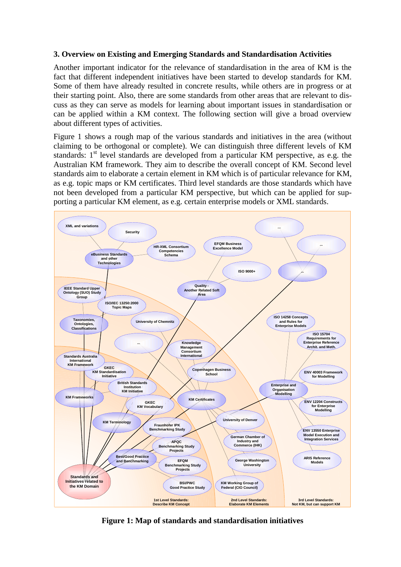#### **3. Overview on Existing and Emerging Standards and Standardisation Activities**

Another important indicator for the relevance of standardisation in the area of KM is the fact that different independent initiatives have been started to develop standards for KM. Some of them have already resulted in concrete results, while others are in progress or at their starting point. Also, there are some standards from other areas that are relevant to discuss as they can serve as models for learning about important issues in standardisation or can be applied within a KM context. The following section will give a broad overview about different types of activities.

Figure 1 shows a rough map of the various standards and initiatives in the area (without claiming to be orthogonal or complete). We can distinguish three different levels of KM standards:  $1<sup>st</sup>$  level standards are developed from a particular KM perspective, as e.g. the Australian KM framework. They aim to describe the overall concept of KM. Second level standards aim to elaborate a certain element in KM which is of particular relevance for KM, as e.g. topic maps or KM certificates. Third level standards are those standards which have not been developed from a particular KM perspective, but which can be applied for supporting a particular KM element, as e.g. certain enterprise models or XML standards.



**Figure 1: Map of standards and standardisation initiatives**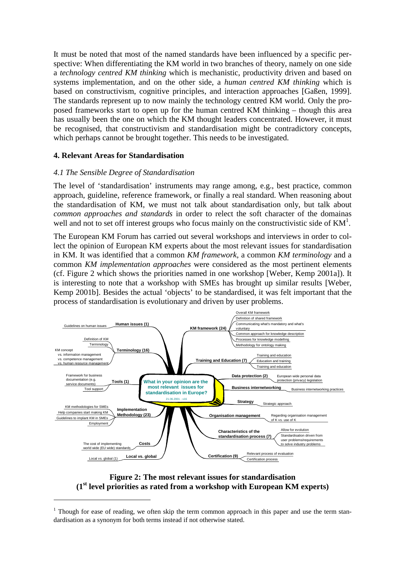It must be noted that most of the named standards have been influenced by a specific perspective: When differentiating the KM world in two branches of theory, namely on one side a *technology centred KM thinking* which is mechanistic, productivity driven and based on systems implementation, and on the other side, a *human centred KM thinking* which is based on constructivism, cognitive principles, and interaction approaches [Gaßen, 1999]. The standards represent up to now mainly the technology centred KM world. Only the proposed frameworks start to open up for the human centred KM thinking – though this area has usually been the one on which the KM thought leaders concentrated. However, it must be recognised, that constructivism and standardisation might be contradictory concepts, which perhaps cannot be brought together. This needs to be investigated.

#### **4. Relevant Areas for Standardisation**

1

#### *4.1 The Sensible Degree of Standardisation*

The level of 'standardisation' instruments may range among, e.g., best practice, common approach, guideline, reference framework, or finally a real standard. When reasoning about the standardisation of KM, we must not talk about standardisation only, but talk about *common approaches and standards* in order to relect the soft character of the domainas well and not to set off interest groups who focus mainly on the constructivistic side of  $KM^1$ .

The European KM Forum has carried out several workshops and interviews in order to collect the opinion of European KM experts about the most relevant issues for standardisation in KM. It was identified that a common *KM framework*, a common *KM terminology* and a common *KM implementation approaches* were considered as the most pertinent elements (cf. Figure 2 which shows the priorities named in one workshop [Weber, Kemp 2001a]). It is interesting to note that a workshop with SMEs has brought up similar results [Weber, Kemp 2001b]. Besides the actual 'objects' to be standardised, it was felt important that the process of standardisation is evolutionary and driven by user problems.



**Figure 2: The most relevant issues for standardisation (1st level priorities as rated from a workshop with European KM experts)** 

<sup>1</sup> Though for ease of reading, we often skip the term common approach in this paper and use the term standardisation as a synonym for both terms instead if not otherwise stated.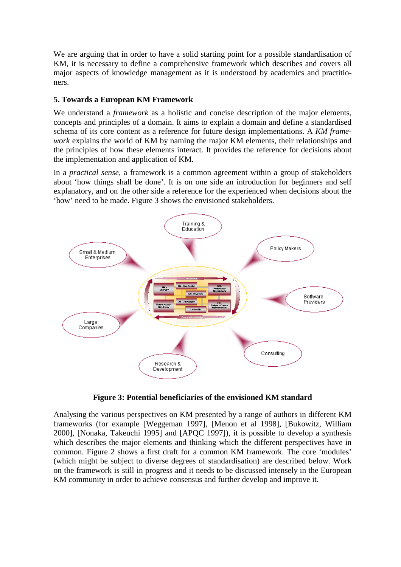We are arguing that in order to have a solid starting point for a possible standardisation of KM, it is necessary to define a comprehensive framework which describes and covers all major aspects of knowledge management as it is understood by academics and practitioners.

#### **5. Towards a European KM Framework**

We understand a *framework* as a holistic and concise description of the major elements, concepts and principles of a domain. It aims to explain a domain and define a standardised schema of its core content as a reference for future design implementations. A *KM framework* explains the world of KM by naming the major KM elements, their relationships and the principles of how these elements interact. It provides the reference for decisions about the implementation and application of KM.

In a *practical sense,* a framework is a common agreement within a group of stakeholders about 'how things shall be done'. It is on one side an introduction for beginners and self explanatory, and on the other side a reference for the experienced when decisions about the 'how' need to be made. Figure 3 shows the envisioned stakeholders.



**Figure 3: Potential beneficiaries of the envisioned KM standard** 

Analysing the various perspectives on KM presented by a range of authors in different KM frameworks (for example [Weggeman 1997], [Menon et al 1998], [Bukowitz, William 2000], [Nonaka, Takeuchi 1995] and [APQC 1997]), it is possible to develop a synthesis which describes the major elements and thinking which the different perspectives have in common. Figure 2 shows a first draft for a common KM framework. The core 'modules' (which might be subject to diverse degrees of standardisation) are described below. Work on the framework is still in progress and it needs to be discussed intensely in the European KM community in order to achieve consensus and further develop and improve it.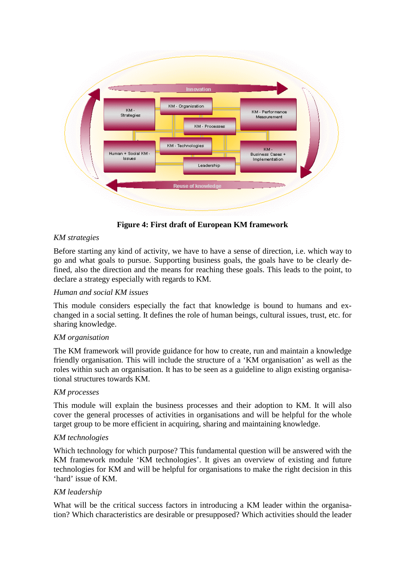

**Figure 4: First draft of European KM framework** 

## *KM strategies*

Before starting any kind of activity, we have to have a sense of direction, i.e. which way to go and what goals to pursue. Supporting business goals, the goals have to be clearly defined, also the direction and the means for reaching these goals. This leads to the point, to declare a strategy especially with regards to KM.

## *Human and social KM issues*

This module considers especially the fact that knowledge is bound to humans and exchanged in a social setting. It defines the role of human beings, cultural issues, trust, etc. for sharing knowledge.

## *KM organisation*

The KM framework will provide guidance for how to create, run and maintain a knowledge friendly organisation. This will include the structure of a 'KM organisation' as well as the roles within such an organisation. It has to be seen as a guideline to align existing organisational structures towards KM.

## *KM processes*

This module will explain the business processes and their adoption to KM. It will also cover the general processes of activities in organisations and will be helpful for the whole target group to be more efficient in acquiring, sharing and maintaining knowledge.

## *KM technologies*

Which technology for which purpose? This fundamental question will be answered with the KM framework module 'KM technologies'. It gives an overview of existing and future technologies for KM and will be helpful for organisations to make the right decision in this 'hard' issue of KM.

# *KM leadership*

What will be the critical success factors in introducing a KM leader within the organisation? Which characteristics are desirable or presupposed? Which activities should the leader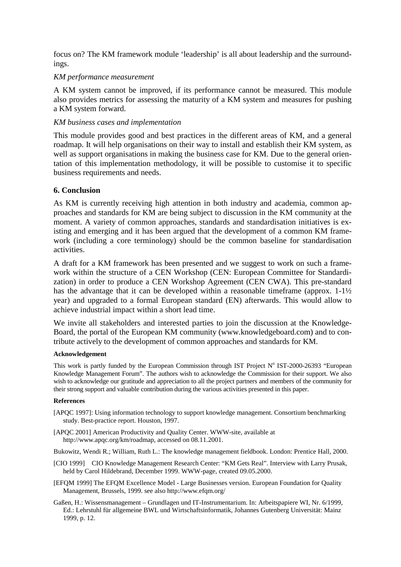focus on? The KM framework module 'leadership' is all about leadership and the surroundings.

#### *KM performance measurement*

A KM system cannot be improved, if its performance cannot be measured. This module also provides metrics for assessing the maturity of a KM system and measures for pushing a KM system forward.

#### *KM business cases and implementation*

This module provides good and best practices in the different areas of KM, and a general roadmap. It will help organisations on their way to install and establish their KM system, as well as support organisations in making the business case for KM. Due to the general orientation of this implementation methodology, it will be possible to customise it to specific business requirements and needs.

#### **6. Conclusion**

As KM is currently receiving high attention in both industry and academia, common approaches and standards for KM are being subject to discussion in the KM community at the moment. A variety of common approaches, standards and standardisation initiatives is existing and emerging and it has been argued that the development of a common KM framework (including a core terminology) should be the common baseline for standardisation activities.

A draft for a KM framework has been presented and we suggest to work on such a framework within the structure of a CEN Workshop (CEN: European Committee for Standardization) in order to produce a CEN Workshop Agreement (CEN CWA). This pre-standard has the advantage that it can be developed within a reasonable timeframe (approx. 1-1½ year) and upgraded to a formal European standard (EN) afterwards. This would allow to achieve industrial impact within a short lead time.

We invite all stakeholders and interested parties to join the discussion at the Knowledge-Board, the portal of the European KM community (www.knowledgeboard.com) and to contribute actively to the development of common approaches and standards for KM.

#### **Acknowledgement**

This work is partly funded by the European Commission through IST Project N° IST-2000-26393 "European Knowledge Management Forum". The authors wish to acknowledge the Commission for their support. We also wish to acknowledge our gratitude and appreciation to all the project partners and members of the community for their strong support and valuable contribution during the various activities presented in this paper.

#### **References**

- [APQC 1997]: Using information technology to support knowledge management. Consortium benchmarking study. Best-practice report. Houston, 1997.
- [APOC 2001] American Productivity and Ouality Center. WWW-site, available at http://www.apqc.org/km/roadmap, accessed on 08.11.2001.

Bukowitz, Wendi R.; William, Ruth L.: The knowledge management fieldbook. London: Prentice Hall, 2000.

- [CIO 1999] CIO Knowledge Management Research Center: "KM Gets Real". Interview with Larry Prusak, held by Carol Hildebrand, December 1999. WWW-page, created 09.05.2000.
- [EFQM 1999] The EFQM Excellence Model Large Businesses version. European Foundation for Quality Management, Brussels, 1999. see also http://www.efqm.org/
- Gaßen, H.: Wissensmanagement Grundlagen und IT-Instrumentarium. In: Arbeitspapiere WI, Nr. 6/1999, Ed.: Lehrstuhl für allgemeine BWL und Wirtschaftsinformatik, Johannes Gutenberg Universität: Mainz 1999, p. 12.